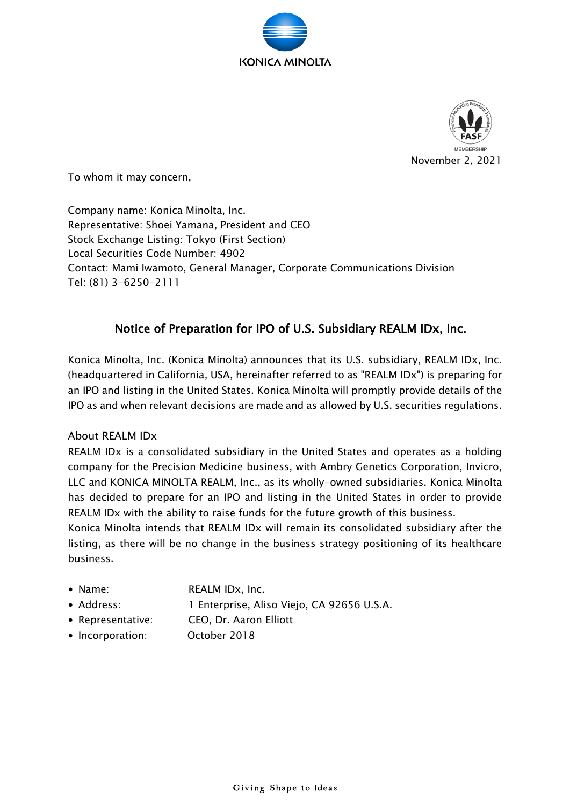



To whom it may concern,

Company name: Konica Minolta, Inc. Representative: Shoei Yamana, President and CEO Stock Exchange Listing: Tokyo (First Section) Local Securities Code Number: 4902 Contact: Mami Iwamoto, General Manager, Corporate Communications Division Tel: (81) 3-6250-2111

## Notice of Preparation for IPO of U.S. Subsidiary REALM IDx, Inc.

Konica Minolta, Inc. (Konica Minolta) announces that its U.S. subsidiary, REALM IDx, Inc. (headquartered in California, USA, hereinafter referred to as "REALM IDx") is preparing for an IPO and listing in the United States. Konica Minolta will promptly provide details of the IPO as and when relevant decisions are made and as allowed by U.S. securities regulations.

## About REALM IDx

REALM IDx is a consolidated subsidiary in the United States and operates as a holding company for the Precision Medicine business, with Ambry Genetics Corporation, Invicro, LLC and KONICA MINOLTA REALM, Inc., as its wholly-owned subsidiaries. Konica Minolta has decided to prepare for an IPO and listing in the United States in order to provide REALM IDx with the ability to raise funds for the future growth of this business.

Konica Minolta intends that REALM IDx will remain its consolidated subsidiary after the listing, as there will be no change in the business strategy positioning of its healthcare business.

- Name: REALM IDx, Inc.
- 

• Address: 1 Enterprise, Aliso Viejo, CA 92656 U.S.A.

- Representative: CEO, Dr. Aaron Elliott
- Incorporation: October 2018